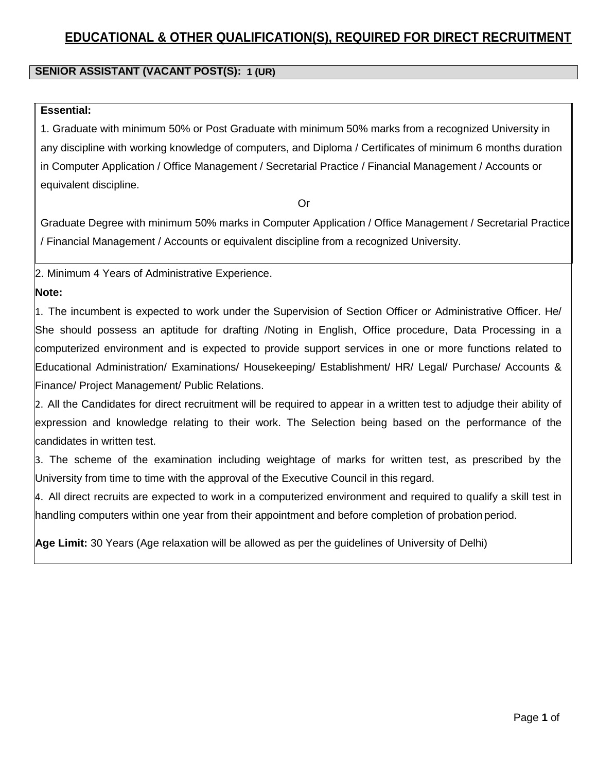# **EDUCATIONAL & OTHER QUALIFICATION(S), REQUIRED FOR DIRECT RECRUITMENT**

#### **1 (UR) SENIOR ASSISTANT (VACANT POST(S): 1–PwD)**

### **Essential:**

1. Graduate with minimum 50% or Post Graduate with minimum 50% marks from a recognized University in any discipline with working knowledge of computers, and Diploma / Certificates of minimum 6 months duration in Computer Application / Office Management / Secretarial Practice / Financial Management / Accounts or equivalent discipline.

Or

Graduate Degree with minimum 50% marks in Computer Application / Office Management / Secretarial Practice / Financial Management / Accounts or equivalent discipline from a recognized University.

2. Minimum 4 Years of Administrative Experience.

### **Note:**

1. The incumbent is expected to work under the Supervision of Section Officer or Administrative Officer. He/ She should possess an aptitude for drafting /Noting in English, Office procedure, Data Processing in a computerized environment and is expected to provide support services in one or more functions related to Educational Administration/ Examinations/ Housekeeping/ Establishment/ HR/ Legal/ Purchase/ Accounts & Finance/ Project Management/ Public Relations.

2. All the Candidates for direct recruitment will be required to appear in a written test to adjudge their ability of expression and knowledge relating to their work. The Selection being based on the performance of the candidates in written test.

3. The scheme of the examination including weightage of marks for written test, as prescribed by the University from time to time with the approval of the Executive Council in this regard.

4. All direct recruits are expected to work in a computerized environment and required to qualify a skill test in handling computers within one year from their appointment and before completion of probation period.

**Age Limit:** 30 Years (Age relaxation will be allowed as per the guidelines of University of Delhi)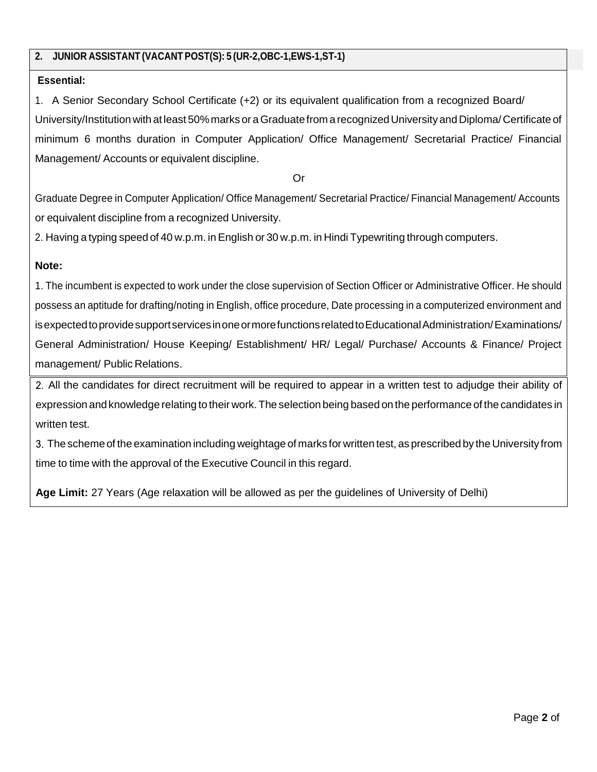## **2. JUNIOR ASSISTANT (VACANT POST(S): 5 (UR-2,OBC-1,EWS-1,ST-1)**

## **Essential:**

1. A Senior Secondary School Certificate (+2) or its equivalent qualification from a recognized Board/ University/Institution with at least 50% marks or a Graduate from a recognized University and Diploma/ Certificate of minimum 6 months duration in Computer Application/ Office Management/ Secretarial Practice/ Financial Management/ Accounts or equivalent discipline.

Or

Graduate Degree in Computer Application/ Office Management/ Secretarial Practice/ Financial Management/ Accounts or equivalent discipline from a recognized University.

2. Having a typing speed of 40 w.p.m. in English or 30 w.p.m. in Hindi Typewriting through computers.

## **Note:**

1. The incumbent is expected to work under the close supervision of Section Officer or Administrative Officer. He should possess an aptitude for drafting/noting in English, office procedure, Date processing in a computerized environment and is expected to provide support services in one or more functions related to Educational Administration/Examinations/ General Administration/ House Keeping/ Establishment/ HR/ Legal/ Purchase/ Accounts & Finance/ Project management/ Public Relations.

All the candidates for direct recruitment will be required to appear in a written test to adjudge their ability of expression and knowledge relating to their work.The selection being based on the performance of the candidates in written test.

3. The scheme of the examination including weightage of marks for written test, as prescribed by the University from time to time with the approval of the Executive Council in this regard.

**Age Limit:** 27 Years (Age relaxation will be allowed as per the guidelines of University of Delhi)